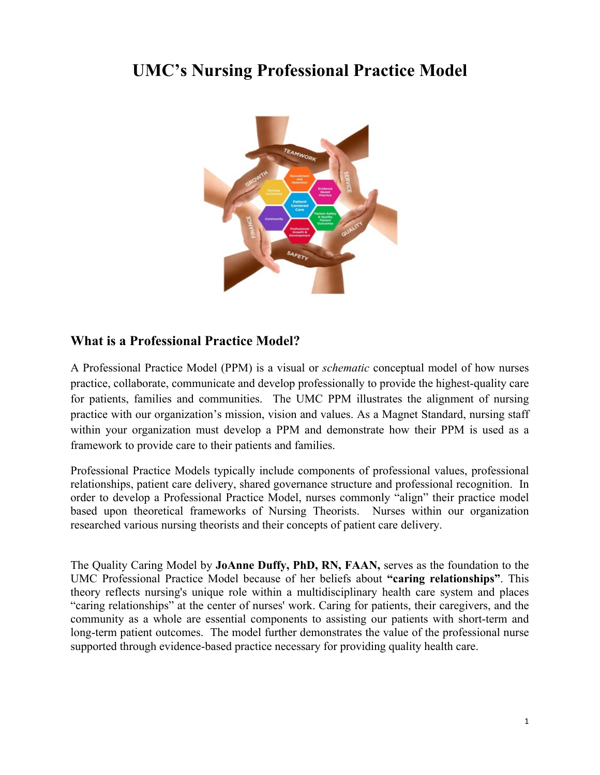## **UMC's Nursing Professional Practice Model**



## **What is a Professional Practice Model?**

A Professional Practice Model (PPM) is a visual or *schematic* conceptual model of how nurses practice, collaborate, communicate and develop professionally to provide the highest-quality care for patients, families and communities. The UMC PPM illustrates the alignment of nursing practice with our organization's mission, vision and values. As a Magnet Standard, nursing staff within your organization must develop a PPM and demonstrate how their PPM is used as a framework to provide care to their patients and families.

Professional Practice Models typically include components of professional values, professional relationships, patient care delivery, shared governance structure and professional recognition. In order to develop a Professional Practice Model, nurses commonly "align" their practice model based upon theoretical frameworks of Nursing Theorists. Nurses within our organization researched various nursing theorists and their concepts of patient care delivery.

The Quality Caring Model by **JoAnne Duffy, PhD, RN, FAAN,** serves as the foundation to the UMC Professional Practice Model because of her beliefs about **"caring relationships"**. This theory reflects nursing's unique role within a multidisciplinary health care system and places "caring relationships" at the center of nurses' work. Caring for patients, their caregivers, and the community as a whole are essential components to assisting our patients with short-term and long-term patient outcomes. The model further demonstrates the value of the professional nurse supported through evidence-based practice necessary for providing quality health care.